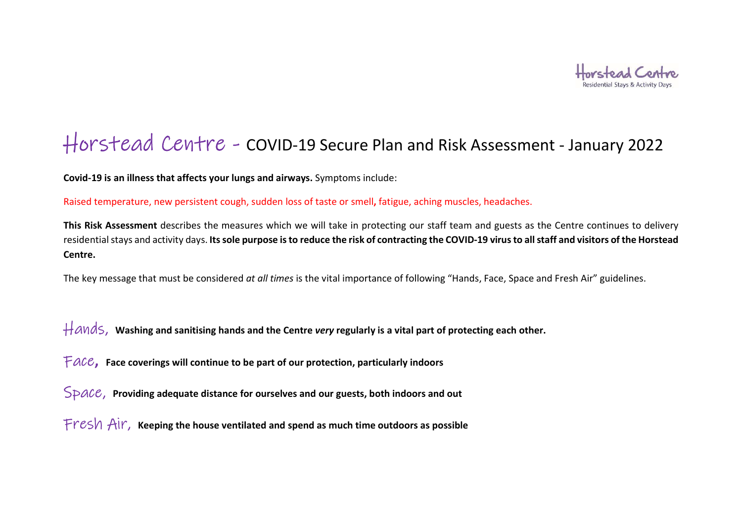

## Horstead Centre - COVID-19 Secure Plan and Risk Assessment - January 2022

Covid-19 is an illness that affects your lungs and airways. Symptoms include:

Raised temperature, new persistent cough, sudden loss of taste or smell, fatigue, aching muscles, headaches.

This Risk Assessment describes the measures which we will take in protecting our staff team and guests as the Centre continues to delivery residential stays and activity days. Its sole purpose is to reduce the risk of contracting the COVID-19 virus to all staff and visitors of the Horstead Centre.

The key message that must be considered at all times is the vital importance of following "Hands, Face, Space and Fresh Air" guidelines.

 $H$ ands, Washing and sanitising hands and the Centre very regularly is a vital part of protecting each other.

 $FACE$ , Face coverings will continue to be part of our protection, particularly indoors

 $Space$ , Providing adequate distance for ourselves and our guests, both indoors and out

Fresh Air, Keeping the house ventilated and spend as much time outdoors as possible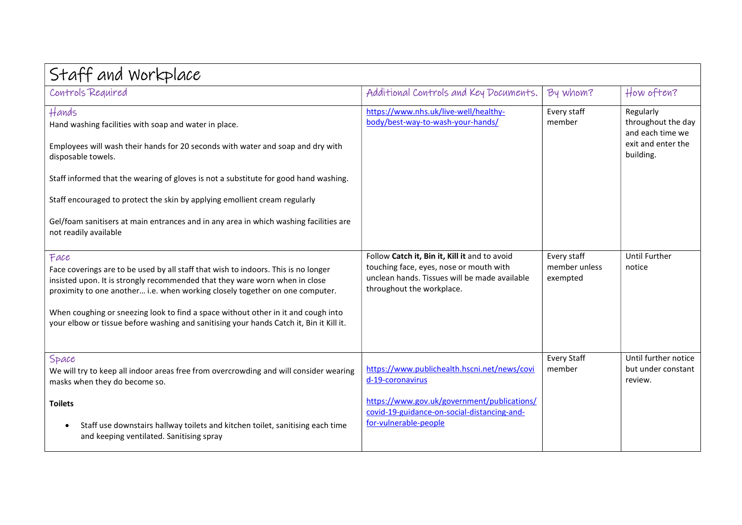| Staff and Workplace                                                                                                                                                                                                                                                                                                                                                                                                                                             |                                                                                                                                                                                         |                                          |                                                                                        |  |
|-----------------------------------------------------------------------------------------------------------------------------------------------------------------------------------------------------------------------------------------------------------------------------------------------------------------------------------------------------------------------------------------------------------------------------------------------------------------|-----------------------------------------------------------------------------------------------------------------------------------------------------------------------------------------|------------------------------------------|----------------------------------------------------------------------------------------|--|
| Controls Required                                                                                                                                                                                                                                                                                                                                                                                                                                               | Additional Controls and Key Documents.                                                                                                                                                  | By whom?                                 | How often?                                                                             |  |
| Hands<br>Hand washing facilities with soap and water in place.<br>Employees will wash their hands for 20 seconds with water and soap and dry with<br>disposable towels.<br>Staff informed that the wearing of gloves is not a substitute for good hand washing.<br>Staff encouraged to protect the skin by applying emollient cream regularly<br>Gel/foam sanitisers at main entrances and in any area in which washing facilities are<br>not readily available | https://www.nhs.uk/live-well/healthy-<br>body/best-way-to-wash-your-hands/                                                                                                              | Every staff<br>member                    | Regularly<br>throughout the day<br>and each time we<br>exit and enter the<br>building. |  |
| Face<br>Face coverings are to be used by all staff that wish to indoors. This is no longer<br>insisted upon. It is strongly recommended that they ware worn when in close<br>proximity to one another i.e. when working closely together on one computer.<br>When coughing or sneezing look to find a space without other in it and cough into<br>your elbow or tissue before washing and sanitising your hands Catch it, Bin it Kill it.                       | Follow Catch it, Bin it, Kill it and to avoid<br>touching face, eyes, nose or mouth with<br>unclean hands. Tissues will be made available<br>throughout the workplace.                  | Every staff<br>member unless<br>exempted | <b>Until Further</b><br>notice                                                         |  |
| Space<br>We will try to keep all indoor areas free from overcrowding and will consider wearing<br>masks when they do become so.<br><b>Toilets</b><br>Staff use downstairs hallway toilets and kitchen toilet, sanitising each time<br>٠<br>and keeping ventilated. Sanitising spray                                                                                                                                                                             | https://www.publichealth.hscni.net/news/covi<br>d-19-coronavirus<br>https://www.gov.uk/government/publications/<br>covid-19-guidance-on-social-distancing-and-<br>for-vulnerable-people | <b>Every Staff</b><br>member             | Until further notice<br>but under constant<br>review.                                  |  |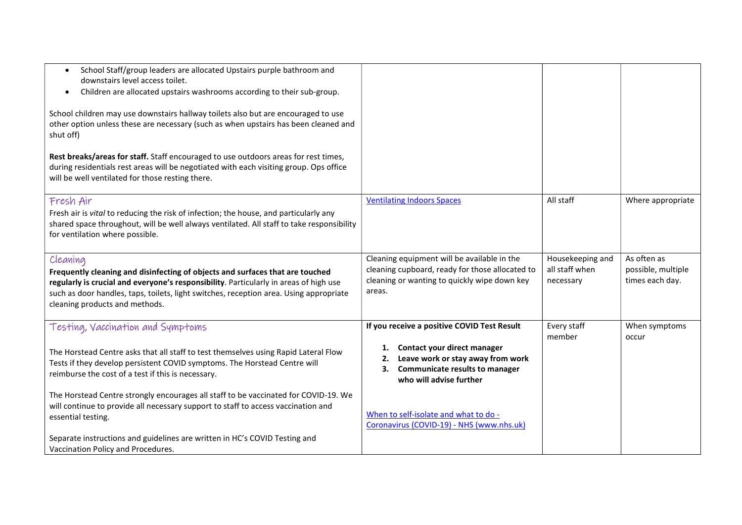| School Staff/group leaders are allocated Upstairs purple bathroom and<br>downstairs level access toilet.<br>Children are allocated upstairs washrooms according to their sub-group.<br>$\bullet$<br>School children may use downstairs hallway toilets also but are encouraged to use                          |                                                                                                                                                          |                                                 |                                                      |
|----------------------------------------------------------------------------------------------------------------------------------------------------------------------------------------------------------------------------------------------------------------------------------------------------------------|----------------------------------------------------------------------------------------------------------------------------------------------------------|-------------------------------------------------|------------------------------------------------------|
| other option unless these are necessary (such as when upstairs has been cleaned and<br>shut off)                                                                                                                                                                                                               |                                                                                                                                                          |                                                 |                                                      |
| Rest breaks/areas for staff. Staff encouraged to use outdoors areas for rest times,<br>during residentials rest areas will be negotiated with each visiting group. Ops office<br>will be well ventilated for those resting there.                                                                              |                                                                                                                                                          |                                                 |                                                      |
| Fresh Air<br>Fresh air is vital to reducing the risk of infection; the house, and particularly any<br>shared space throughout, will be well always ventilated. All staff to take responsibility<br>for ventilation where possible.                                                                             | <b>Ventilating Indoors Spaces</b>                                                                                                                        | All staff                                       | Where appropriate                                    |
| Cleaning<br>Frequently cleaning and disinfecting of objects and surfaces that are touched<br>regularly is crucial and everyone's responsibility. Particularly in areas of high use<br>such as door handles, taps, toilets, light switches, reception area. Using appropriate<br>cleaning products and methods. | Cleaning equipment will be available in the<br>cleaning cupboard, ready for those allocated to<br>cleaning or wanting to quickly wipe down key<br>areas. | Housekeeping and<br>all staff when<br>necessary | As often as<br>possible, multiple<br>times each day. |
| Testing, Vaccination and Symptoms                                                                                                                                                                                                                                                                              | If you receive a positive COVID Test Result                                                                                                              | Every staff<br>member                           | When symptoms<br>occur                               |
| The Horstead Centre asks that all staff to test themselves using Rapid Lateral Flow<br>Tests if they develop persistent COVID symptoms. The Horstead Centre will<br>reimburse the cost of a test if this is necessary.                                                                                         | Contact your direct manager<br>1.<br>Leave work or stay away from work<br>2.<br><b>Communicate results to manager</b><br>з.<br>who will advise further   |                                                 |                                                      |
| The Horstead Centre strongly encourages all staff to be vaccinated for COVID-19. We<br>will continue to provide all necessary support to staff to access vaccination and<br>essential testing.                                                                                                                 | When to self-isolate and what to do -<br>Coronavirus (COVID-19) - NHS (www.nhs.uk)                                                                       |                                                 |                                                      |
| Separate instructions and guidelines are written in HC's COVID Testing and<br>Vaccination Policy and Procedures.                                                                                                                                                                                               |                                                                                                                                                          |                                                 |                                                      |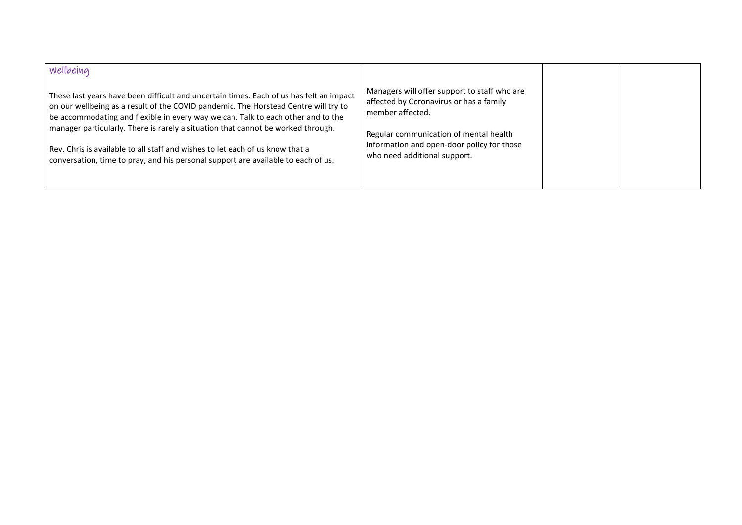| <i><b>Wellbeing</b></i><br>These last years have been difficult and uncertain times. Each of us has felt an impact<br>on our wellbeing as a result of the COVID pandemic. The Horstead Centre will try to<br>be accommodating and flexible in every way we can. Talk to each other and to the<br>manager particularly. There is rarely a situation that cannot be worked through. | Managers will offer support to staff who are<br>affected by Coronavirus or has a family<br>member affected.<br>Regular communication of mental health<br>information and open-door policy for those<br>who need additional support. |  |
|-----------------------------------------------------------------------------------------------------------------------------------------------------------------------------------------------------------------------------------------------------------------------------------------------------------------------------------------------------------------------------------|-------------------------------------------------------------------------------------------------------------------------------------------------------------------------------------------------------------------------------------|--|
| Rev. Chris is available to all staff and wishes to let each of us know that a<br>conversation, time to pray, and his personal support are available to each of us.                                                                                                                                                                                                                |                                                                                                                                                                                                                                     |  |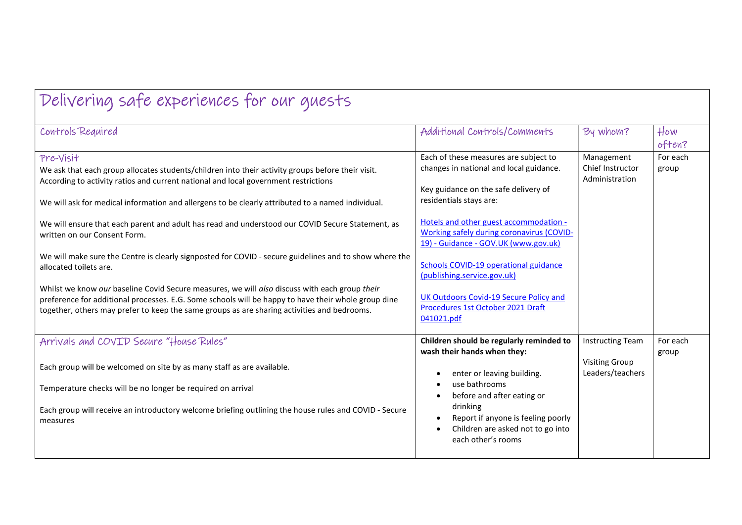| Delivering safe experiences for our guests                                                                                                                                                                                                                                                                                                                                                                                                     |                                                                                                                                                                                                                                                                   |                                                                      |                   |
|------------------------------------------------------------------------------------------------------------------------------------------------------------------------------------------------------------------------------------------------------------------------------------------------------------------------------------------------------------------------------------------------------------------------------------------------|-------------------------------------------------------------------------------------------------------------------------------------------------------------------------------------------------------------------------------------------------------------------|----------------------------------------------------------------------|-------------------|
| Controls Required                                                                                                                                                                                                                                                                                                                                                                                                                              | Additional Controls/Comments                                                                                                                                                                                                                                      | By whom?                                                             | How<br>often?     |
| Pre-Visit<br>We ask that each group allocates students/children into their activity groups before their visit.<br>According to activity ratios and current national and local government restrictions<br>We will ask for medical information and allergens to be clearly attributed to a named individual.<br>We will ensure that each parent and adult has read and understood our COVID Secure Statement, as<br>written on our Consent Form. | Each of these measures are subject to<br>changes in national and local guidance.<br>Key guidance on the safe delivery of<br>residentials stays are:<br>Hotels and other guest accommodation -<br>Working safely during coronavirus (COVID-                        | Management<br>Chief Instructor<br>Administration                     | For each<br>group |
| We will make sure the Centre is clearly signposted for COVID - secure guidelines and to show where the<br>allocated toilets are.<br>Whilst we know our baseline Covid Secure measures, we will also discuss with each group their<br>preference for additional processes. E.G. Some schools will be happy to have their whole group dine<br>together, others may prefer to keep the same groups as are sharing activities and bedrooms.        | 19) - Guidance - GOV.UK (www.gov.uk)<br><b>Schools COVID-19 operational guidance</b><br>(publishing.service.gov.uk)<br>UK Outdoors Covid-19 Secure Policy and<br>Procedures 1st October 2021 Draft<br>041021.pdf                                                  |                                                                      |                   |
| Arrivals and COVID Secure "House Rules"<br>Each group will be welcomed on site by as many staff as are available.<br>Temperature checks will be no longer be required on arrival<br>Each group will receive an introductory welcome briefing outlining the house rules and COVID - Secure<br>measures                                                                                                                                          | Children should be regularly reminded to<br>wash their hands when they:<br>enter or leaving building.<br>use bathrooms<br>before and after eating or<br>drinking<br>Report if anyone is feeling poorly<br>Children are asked not to go into<br>each other's rooms | <b>Instructing Team</b><br><b>Visiting Group</b><br>Leaders/teachers | For each<br>group |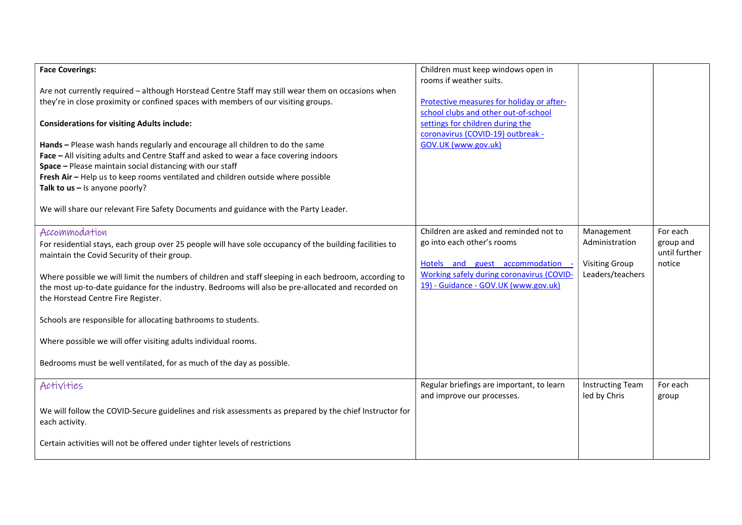| <b>Face Coverings:</b>                                                                                  | Children must keep windows open in        |                         |               |
|---------------------------------------------------------------------------------------------------------|-------------------------------------------|-------------------------|---------------|
| Are not currently required - although Horstead Centre Staff may still wear them on occasions when       | rooms if weather suits.                   |                         |               |
| they're in close proximity or confined spaces with members of our visiting groups.                      | Protective measures for holiday or after- |                         |               |
|                                                                                                         | school clubs and other out-of-school      |                         |               |
| <b>Considerations for visiting Adults include:</b>                                                      | settings for children during the          |                         |               |
|                                                                                                         | coronavirus (COVID-19) outbreak -         |                         |               |
| Hands - Please wash hands regularly and encourage all children to do the same                           | GOV.UK (www.gov.uk)                       |                         |               |
| Face - All visiting adults and Centre Staff and asked to wear a face covering indoors                   |                                           |                         |               |
| Space - Please maintain social distancing with our staff                                                |                                           |                         |               |
| Fresh Air - Help us to keep rooms ventilated and children outside where possible                        |                                           |                         |               |
| Talk to $us - Is$ anyone poorly?                                                                        |                                           |                         |               |
| We will share our relevant Fire Safety Documents and guidance with the Party Leader.                    |                                           |                         |               |
|                                                                                                         |                                           |                         |               |
| Accommodation                                                                                           | Children are asked and reminded not to    | Management              | For each      |
| For residential stays, each group over 25 people will have sole occupancy of the building facilities to | go into each other's rooms                | Administration          | group and     |
| maintain the Covid Security of their group.                                                             |                                           |                         | until further |
|                                                                                                         | Hotels and guest accommodation -          | <b>Visiting Group</b>   | notice        |
| Where possible we will limit the numbers of children and staff sleeping in each bedroom, according to   | Working safely during coronavirus (COVID- | Leaders/teachers        |               |
| the most up-to-date guidance for the industry. Bedrooms will also be pre-allocated and recorded on      | 19) - Guidance - GOV.UK (www.gov.uk)      |                         |               |
| the Horstead Centre Fire Register.                                                                      |                                           |                         |               |
|                                                                                                         |                                           |                         |               |
| Schools are responsible for allocating bathrooms to students.                                           |                                           |                         |               |
| Where possible we will offer visiting adults individual rooms.                                          |                                           |                         |               |
|                                                                                                         |                                           |                         |               |
| Bedrooms must be well ventilated, for as much of the day as possible.                                   |                                           |                         |               |
|                                                                                                         |                                           |                         |               |
| Activities                                                                                              | Regular briefings are important, to learn | <b>Instructing Team</b> | For each      |
|                                                                                                         | and improve our processes.                | led by Chris            | group         |
| We will follow the COVID-Secure guidelines and risk assessments as prepared by the chief Instructor for |                                           |                         |               |
| each activity.                                                                                          |                                           |                         |               |
|                                                                                                         |                                           |                         |               |
|                                                                                                         |                                           |                         |               |
| Certain activities will not be offered under tighter levels of restrictions                             |                                           |                         |               |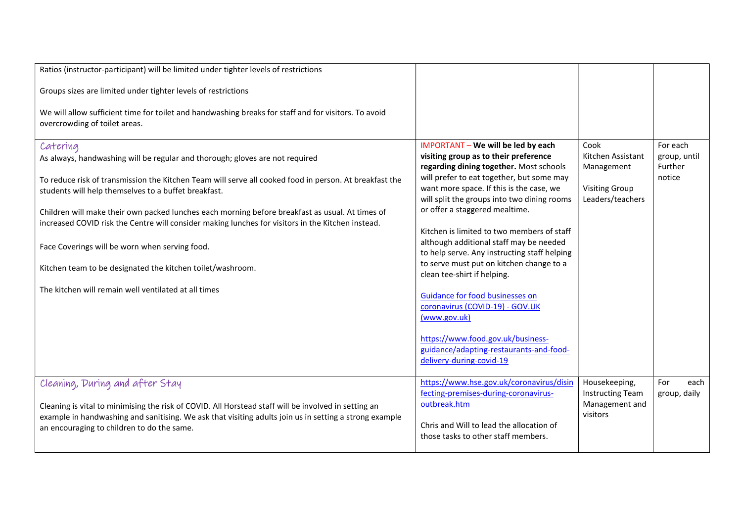| Ratios (instructor-participant) will be limited under tighter levels of restrictions                                                                                                                 |                                                                                         |                                           |                         |
|------------------------------------------------------------------------------------------------------------------------------------------------------------------------------------------------------|-----------------------------------------------------------------------------------------|-------------------------------------------|-------------------------|
| Groups sizes are limited under tighter levels of restrictions                                                                                                                                        |                                                                                         |                                           |                         |
| We will allow sufficient time for toilet and handwashing breaks for staff and for visitors. To avoid<br>overcrowding of toilet areas.                                                                |                                                                                         |                                           |                         |
| Catering                                                                                                                                                                                             | IMPORTANT - We will be led by each                                                      | Cook                                      | For each                |
| As always, handwashing will be regular and thorough; gloves are not required                                                                                                                         | visiting group as to their preference<br>regarding dining together. Most schools        | Kitchen Assistant<br>Management           | group, until<br>Further |
| To reduce risk of transmission the Kitchen Team will serve all cooked food in person. At breakfast the                                                                                               | will prefer to eat together, but some may                                               |                                           | notice                  |
| students will help themselves to a buffet breakfast.                                                                                                                                                 | want more space. If this is the case, we<br>will split the groups into two dining rooms | <b>Visiting Group</b><br>Leaders/teachers |                         |
| Children will make their own packed lunches each morning before breakfast as usual. At times of<br>increased COVID risk the Centre will consider making lunches for visitors in the Kitchen instead. | or offer a staggered mealtime.                                                          |                                           |                         |
|                                                                                                                                                                                                      | Kitchen is limited to two members of staff                                              |                                           |                         |
| Face Coverings will be worn when serving food.                                                                                                                                                       | although additional staff may be needed<br>to help serve. Any instructing staff helping |                                           |                         |
| Kitchen team to be designated the kitchen toilet/washroom.                                                                                                                                           | to serve must put on kitchen change to a<br>clean tee-shirt if helping.                 |                                           |                         |
| The kitchen will remain well ventilated at all times                                                                                                                                                 |                                                                                         |                                           |                         |
|                                                                                                                                                                                                      | Guidance for food businesses on<br>coronavirus (COVID-19) - GOV.UK                      |                                           |                         |
|                                                                                                                                                                                                      | (www.gov.uk)                                                                            |                                           |                         |
|                                                                                                                                                                                                      | https://www.food.gov.uk/business-                                                       |                                           |                         |
|                                                                                                                                                                                                      | guidance/adapting-restaurants-and-food-<br>delivery-during-covid-19                     |                                           |                         |
|                                                                                                                                                                                                      | https://www.hse.gov.uk/coronavirus/disin                                                | Housekeeping,                             | For<br>each             |
| Cleaning, During and after Stay                                                                                                                                                                      | fecting-premises-during-coronavirus-                                                    | <b>Instructing Team</b>                   | group, daily            |
| Cleaning is vital to minimising the risk of COVID. All Horstead staff will be involved in setting an                                                                                                 | outbreak.htm                                                                            | Management and                            |                         |
| example in handwashing and sanitising. We ask that visiting adults join us in setting a strong example                                                                                               | Chris and Will to lead the allocation of                                                | visitors                                  |                         |
| an encouraging to children to do the same.                                                                                                                                                           | those tasks to other staff members.                                                     |                                           |                         |
|                                                                                                                                                                                                      |                                                                                         |                                           |                         |